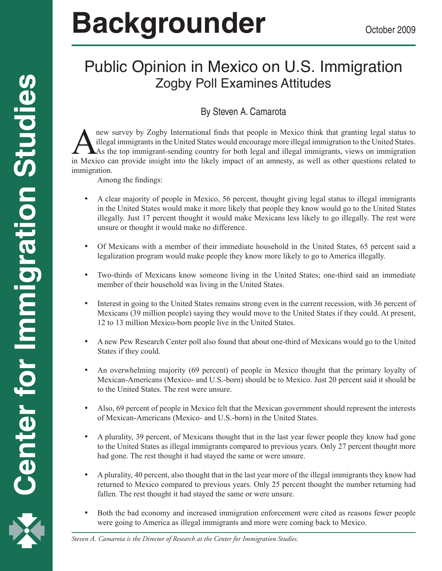# Backgrounder **Backgrounder Decrement Actober 2009**

# Public Opinion in Mexico on U.S. Immigration Zogby Poll Examines Attitudes

# By Steven A. Camarota

new survey by Zogby International finds that people in Mexico think that granting legal status to illegal immigrants in the United States would encourage more illegal immigration to the United States.<br>As the top immigrantillegal immigrants in the United States would encourage more illegal immigration to the United States. As the top immigrant-sending country for both legal and illegal immigrants, views on immigration in Mexico can provide insight into the likely impact of an amnesty, as well as other questions related to immigration.

Among the findings:

- A clear majority of people in Mexico, 56 percent, thought giving legal status to illegal immigrants in the United States would make it more likely that people they know would go to the United States illegally. Just 17 percent thought it would make Mexicans less likely to go illegally. The rest were unsure or thought it would make no difference.
- Of Mexicans with a member of their immediate household in the United States, 65 percent said a legalization program would make people they know more likely to go to America illegally.
- Two-thirds of Mexicans know someone living in the United States; one-third said an immediate member of their household was living in the United States.
- Interest in going to the United States remains strong even in the current recession, with 36 percent of Mexicans (39 million people) saying they would move to the United States if they could. At present, 12 to 13 million Mexico-born people live in the United States.
- A new Pew Research Center poll also found that about one-third of Mexicans would go to the United States if they could.
- An overwhelming majority (69 percent) of people in Mexico thought that the primary loyalty of Mexican-Americans (Mexico- and U.S.-born) should be to Mexico. Just 20 percent said it should be to the United States. The rest were unsure.
- Also, 69 percent of people in Mexico felt that the Mexican government should represent the interests of Mexican-Americans (Mexico- and U.S.-born) in the United States.
- A plurality, 39 percent, of Mexicans thought that in the last year fewer people they know had gone to the United States as illegal immigrants compared to previous years. Only 27 percent thought more had gone. The rest thought it had stayed the same or were unsure.
- A plurality, 40 percent, also thought that in the last year more of the illegal immigrants they know had returned to Mexico compared to previous years. Only 25 percent thought the number returning had fallen. The rest thought it had stayed the same or were unsure.
- Both the bad economy and increased immigration enforcement were cited as reasons fewer people were going to America as illegal immigrants and more were coming back to Mexico.

*Steven A. Camarota is the Director of Research at the Center for Immigration Studies.*

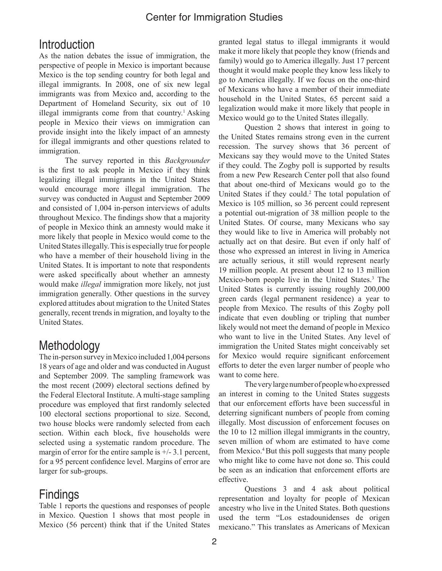#### Center for Immigration Studies

### **Introduction**

As the nation debates the issue of immigration, the perspective of people in Mexico is important because Mexico is the top sending country for both legal and illegal immigrants. In 2008, one of six new legal immigrants was from Mexico and, according to the Department of Homeland Security, six out of 10 illegal immigrants come from that country.<sup>1</sup> Asking people in Mexico their views on immigration can provide insight into the likely impact of an amnesty for illegal immigrants and other questions related to immigration.

The survey reported in this *Backgrounder* is the first to ask people in Mexico if they think legalizing illegal immigrants in the United States would encourage more illegal immigration. The survey was conducted in August and September 2009 and consisted of 1,004 in-person interviews of adults throughout Mexico. The findings show that a majority of people in Mexico think an amnesty would make it more likely that people in Mexico would come to the United States illegally. This is especially true for people who have a member of their household living in the United States. It is important to note that respondents were asked specifically about whether an amnesty would make *illegal* immigration more likely, not just immigration generally. Other questions in the survey explored attitudes about migration to the United States generally, recent trends in migration, and loyalty to the United States.

# **Methodology**

The in-person survey in Mexico included 1,004 persons 18 years of age and older and was conducted in August and September 2009. The sampling framework was the most recent (2009) electoral sections defined by the Federal Electoral Institute. A multi-stage sampling procedure was employed that first randomly selected 100 electoral sections proportional to size. Second, two house blocks were randomly selected from each section. Within each block, five households were selected using a systematic random procedure. The margin of error for the entire sample is  $+/-3.1$  percent, for a 95 percent confidence level. Margins of error are larger for sub-groups.

# Findings

Table 1 reports the questions and responses of people in Mexico. Question 1 shows that most people in Mexico (56 percent) think that if the United States

granted legal status to illegal immigrants it would make it more likely that people they know (friends and family) would go to America illegally. Just 17 percent thought it would make people they know less likely to go to America illegally. If we focus on the one-third of Mexicans who have a member of their immediate household in the United States, 65 percent said a legalization would make it more likely that people in Mexico would go to the United States illegally.

Question 2 shows that interest in going to the United States remains strong even in the current recession. The survey shows that 36 percent of Mexicans say they would move to the United States if they could. The Zogby poll is supported by results from a new Pew Research Center poll that also found that about one-third of Mexicans would go to the United States if they could.<sup>2</sup> The total population of Mexico is 105 million, so 36 percent could represent a potential out-migration of 38 million people to the United States. Of course, many Mexicans who say they would like to live in America will probably not actually act on that desire. But even if only half of those who expressed an interest in living in America are actually serious, it still would represent nearly 19 million people. At present about 12 to 13 million Mexico-born people live in the United States.<sup>3</sup> The United States is currently issuing roughly 200,000 green cards (legal permanent residence) a year to people from Mexico. The results of this Zogby poll indicate that even doubling or tripling that number likely would not meet the demand of people in Mexico who want to live in the United States. Any level of immigration the United States might conceivably set for Mexico would require significant enforcement efforts to deter the even larger number of people who want to come here.

The very large number of people who expressed an interest in coming to the United States suggests that our enforcement efforts have been successful in deterring significant numbers of people from coming illegally. Most discussion of enforcement focuses on the 10 to 12 million illegal immigrants in the country, seven million of whom are estimated to have come from Mexico.<sup>4</sup> But this poll suggests that many people who might like to come have not done so. This could be seen as an indication that enforcement efforts are effective.

Questions 3 and 4 ask about political representation and loyalty for people of Mexican ancestry who live in the United States. Both questions used the term "Los estadounidenses de origen mexicano." This translates as Americans of Mexican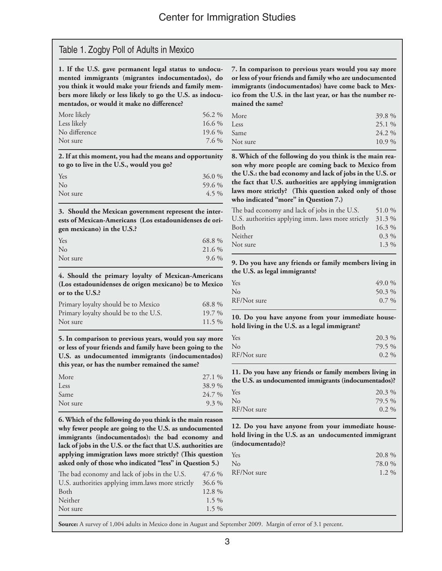#### Table 1. Zogby Poll of Adults in Mexico

**1. If the U.S. gave permanent legal status to undocumented immigrants (migrantes indocumentados), do you think it would make your friends and family members more likely or less likely to go the U.S. as indocumentados, or would it make no difference?**

| More likely   | 56.2 %   |
|---------------|----------|
| Less likely   | $16.6\%$ |
| No difference | 19.6 %   |
| Not sure      | 7.6 %    |
|               |          |

**2. If at this moment, you had the means and opportunity to go to live in the U.S., would you go?**

| Yes            | 36.0 %  |
|----------------|---------|
| N <sub>o</sub> | 59.6 %  |
| Not sure       | $4.5\%$ |

**3. Should the Mexican government represent the interests of Mexican-Americans (Los estadounidenses de origen mexicano) in the U.S.?** 

| Yes            | 68.8 %  |
|----------------|---------|
| N <sub>o</sub> | 21.6 %  |
| Not sure       | $9.6\%$ |
|                |         |

**4. Should the primary loyalty of Mexican-Americans (Los estadounidenses de origen mexicano) be to Mexico or to the U.S.?**

| Primary loyalty should be to Mexico   | 68.8%    |
|---------------------------------------|----------|
| Primary loyalty should be to the U.S. | $19.7\%$ |
| Not sure                              | $11.5\%$ |

**5. In comparison to previous years, would you say more or less of your friends and family have been going to the U.S. as undocumented immigrants (indocumentados) this year, or has the number remained the same?**

| More     | 27.1 %  |
|----------|---------|
| Less     | 38.9 %  |
| Same     | 24.7 %  |
| Not sure | $9.3\%$ |
|          |         |

**6. Which of the following do you think is the main reason why fewer people are going to the U.S. as undocumented immigrants (indocumentados): the bad economy and lack of jobs in the U.S. or the fact that U.S. authorities are applying immigration laws more strictly? (This question asked only of those who indicated "less" in Question 5.)**

| The bad economy and lack of jobs in the U.S.     | 47.6 %   |
|--------------------------------------------------|----------|
| U.S. authorities applying imm.laws more strictly | 36.6 %   |
| <b>Both</b>                                      | $12.8\%$ |
| Neither                                          | $1.5\%$  |
| Not sure                                         | $1.5\%$  |

**7. In comparison to previous years would you say more or less of your friends and family who are undocumented immigrants (indocumentados) have come back to Mexico from the U.S. in the last year, or has the number remained the same?**

| 39.8%    |
|----------|
| 25.1 %   |
| 24.2 %   |
| $10.9\%$ |
|          |

**8. Which of the following do you think is the main reason why more people are coming back to Mexico from the U.S.: the bad economy and lack of jobs in the U.S. or the fact that U.S. authorities are applying immigration laws more strictly? (This question asked only of those who indicated "more" in Question 7.)**

| The bad economy and lack of jobs in the U.S.      | 51.0 %   |
|---------------------------------------------------|----------|
| U.S. authorities applying imm. laws more strictly | 31.3%    |
| Both                                              | $16.3\%$ |
| Neither                                           | $0.3\%$  |
| Not sure                                          | $1.3\%$  |
|                                                   |          |

**9. Do you have any friends or family members living in the U.S. as legal immigrants?**

| Yes         | 49.0 %  |
|-------------|---------|
| No          | 50.3 %  |
| RF/Not sure | $0.7\%$ |

**10. Do you have anyone from your immediate household living in the U.S. as a legal immigrant?**

| 20.3 %  |
|---------|
| 79.5 %  |
| $0.2\%$ |
|         |

**11. Do you have any friends or family members living in the U.S. as undocumented immigrants (indocumentados)?**

| Yes            | 20.3 %  |
|----------------|---------|
| N <sub>o</sub> | 79.5 %  |
| RF/Not sure    | $0.2\%$ |

**12. Do you have anyone from your immediate household living in the U.S. as an undocumented immigrant (indocumentado)?** 

| Yes         | 20.8 %  |
|-------------|---------|
| No          | 78.0 %  |
| RF/Not sure | $1.2\%$ |

**Source:** A survey of 1,004 adults in Mexico done in August and September 2009. Margin of error of 3.1 percent.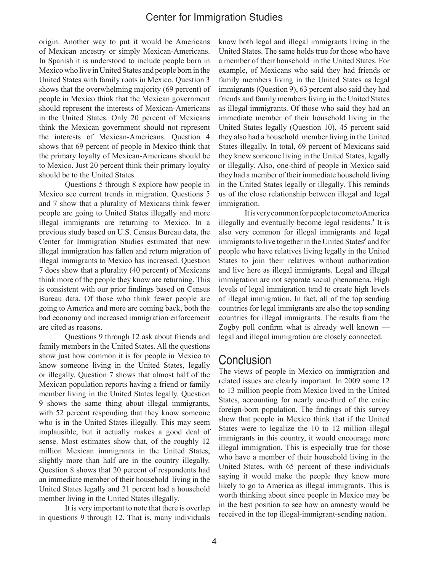#### Center for Immigration Studies

origin. Another way to put it would be Americans of Mexican ancestry or simply Mexican-Americans. In Spanish it is understood to include people born in Mexico who live in United States and people born in the United States with family roots in Mexico. Question 3 shows that the overwhelming majority (69 percent) of people in Mexico think that the Mexican government should represent the interests of Mexican-Americans in the United States. Only 20 percent of Mexicans think the Mexican government should not represent the interests of Mexican-Americans. Question 4 shows that 69 percent of people in Mexico think that the primary loyalty of Mexican-Americans should be to Mexico. Just 20 percent think their primary loyalty should be to the United States.

Questions 5 through 8 explore how people in Mexico see current trends in migration. Questions 5 and 7 show that a plurality of Mexicans think fewer people are going to United States illegally and more illegal immigrants are returning to Mexico. In a previous study based on U.S. Census Bureau data, the Center for Immigration Studies estimated that new illegal immigration has fallen and return migration of illegal immigrants to Mexico has increased. Question 7 does show that a plurality (40 percent) of Mexicans think more of the people they know are returning. This is consistent with our prior findings based on Census Bureau data. Of those who think fewer people are going to America and more are coming back, both the bad economy and increased immigration enforcement are cited as reasons.

Questions 9 through 12 ask about friends and family members in the United States. All the questions show just how common it is for people in Mexico to know someone living in the United States, legally or illegally. Question 7 shows that almost half of the Mexican population reports having a friend or family member living in the United States legally. Question 9 shows the same thing about illegal immigrants, with 52 percent responding that they know someone who is in the United States illegally. This may seem implausible, but it actually makes a good deal of sense. Most estimates show that, of the roughly 12 million Mexican immigrants in the United States, slightly more than half are in the country illegally. Question 8 shows that 20 percent of respondents had an immediate member of their household living in the United States legally and 21 percent had a household member living in the United States illegally.

It is very important to note that there is overlap in questions 9 through 12. That is, many individuals know both legal and illegal immigrants living in the United States. The same holds true for those who have a member of their household in the United States. For example, of Mexicans who said they had friends or family members living in the United States as legal immigrants (Question 9), 63 percent also said they had friends and family members living in the United States as illegal immigrants. Of those who said they had an immediate member of their household living in the United States legally (Question 10), 45 percent said they also had a household member living in the United States illegally. In total, 69 percent of Mexicans said they knew someone living in the United States, legally or illegally. Also, one-third of people in Mexico said they had a member of their immediate household living in the United States legally or illegally. This reminds us of the close relationship between illegal and legal immigration.

It is very common for people to come to America illegally and eventually become legal residents.<sup>5</sup> It is also very common for illegal immigrants and legal immigrants to live together in the United States<sup>6</sup> and for people who have relatives living legally in the United States to join their relatives without authorization and live here as illegal immigrants. Legal and illegal immigration are not separate social phenomena. High levels of legal immigration tend to create high levels of illegal immigration. In fact, all of the top sending countries for legal immigrants are also the top sending countries for illegal immigrants. The results from the Zogby poll confirm what is already well known legal and illegal immigration are closely connected.

#### **Conclusion**

The views of people in Mexico on immigration and related issues are clearly important. In 2009 some 12 to 13 million people from Mexico lived in the United States, accounting for nearly one-third of the entire foreign-born population. The findings of this survey show that people in Mexico think that if the United States were to legalize the 10 to 12 million illegal immigrants in this country, it would encourage more illegal immigration. This is especially true for those who have a member of their household living in the United States, with 65 percent of these individuals saying it would make the people they know more likely to go to America as illegal immigrants. This is worth thinking about since people in Mexico may be in the best position to see how an amnesty would be received in the top illegal-immigrant-sending nation.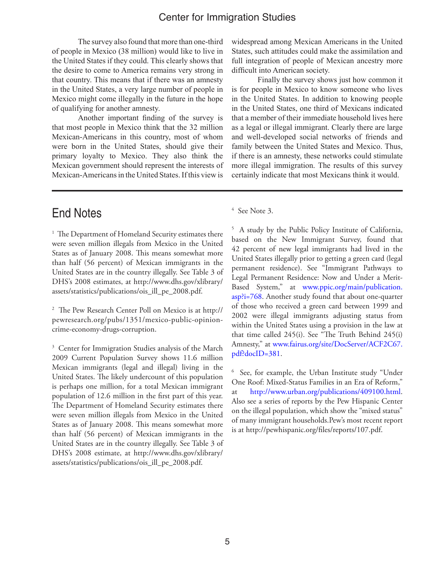#### Center for Immigration Studies

The survey also found that more than one-third of people in Mexico (38 million) would like to live in the United States if they could. This clearly shows that the desire to come to America remains very strong in that country. This means that if there was an amnesty in the United States, a very large number of people in Mexico might come illegally in the future in the hope of qualifying for another amnesty.

Another important finding of the survey is that most people in Mexico think that the 32 million Mexican-Americans in this country, most of whom were born in the United States, should give their primary loyalty to Mexico. They also think the Mexican government should represent the interests of Mexican-Americans in the United States. If this view is

widespread among Mexican Americans in the United States, such attitudes could make the assimilation and full integration of people of Mexican ancestry more difficult into American society.

Finally the survey shows just how common it is for people in Mexico to know someone who lives in the United States. In addition to knowing people in the United States, one third of Mexicans indicated that a member of their immediate household lives here as a legal or illegal immigrant. Clearly there are large and well-developed social networks of friends and family between the United States and Mexico. Thus, if there is an amnesty, these networks could stimulate more illegal immigration. The results of this survey certainly indicate that most Mexicans think it would.

# End Notes

<sup>1</sup> The Department of Homeland Security estimates there were seven million illegals from Mexico in the United States as of January 2008. This means somewhat more than half (56 percent) of Mexican immigrants in the United States are in the country illegally. See Table 3 of DHS's 2008 estimates, at http://www.dhs.gov/xlibrary/ assets/statistics/publications/ois\_ill\_pe\_2008.pdf.

2 The Pew Research Center Poll on Mexico is at http:// pewresearch.org/pubs/1351/mexico-public-opinioncrime-economy-drugs-corruption.

<sup>3</sup> Center for Immigration Studies analysis of the March 2009 Current Population Survey shows 11.6 million Mexican immigrants (legal and illegal) living in the United States. The likely undercount of this population is perhaps one million, for a total Mexican immigrant population of 12.6 million in the first part of this year. The Department of Homeland Security estimates there were seven million illegals from Mexico in the United States as of January 2008. This means somewhat more than half (56 percent) of Mexican immigrants in the United States are in the country illegally. See Table 3 of DHS's 2008 estimate, at http://www.dhs.gov/xlibrary/ assets/statistics/publications/ois\_ill\_pe\_2008.pdf.

4 See Note 3.

<sup>5</sup> A study by the Public Policy Institute of California, based on the New Immigrant Survey, found that 42 percent of new legal immigrants had lived in the United States illegally prior to getting a green card (legal permanent residence). See "Immigrant Pathways to Legal Permanent Residence: Now and Under a Merit-Based System," at www.ppic.org/main/publication. asp?i=768. Another study found that about one-quarter of those who received a green card between 1999 and 2002 were illegal immigrants adjusting status from within the United States using a provision in the law at that time called 245(i). See "The Truth Behind 245(i) Amnesty," at www.fairus.org/site/DocServer/ACF2C67. pdf?docID=381.

6 See, for example, the Urban Institute study "Under One Roof: Mixed-Status Families in an Era of Reform," http://www.urban.org/publications/409100.html. Also see a series of reports by the Pew Hispanic Center on the illegal population, which show the "mixed status" of many immigrant households.Pew's most recent report is at http://pewhispanic.org/files/reports/107.pdf.